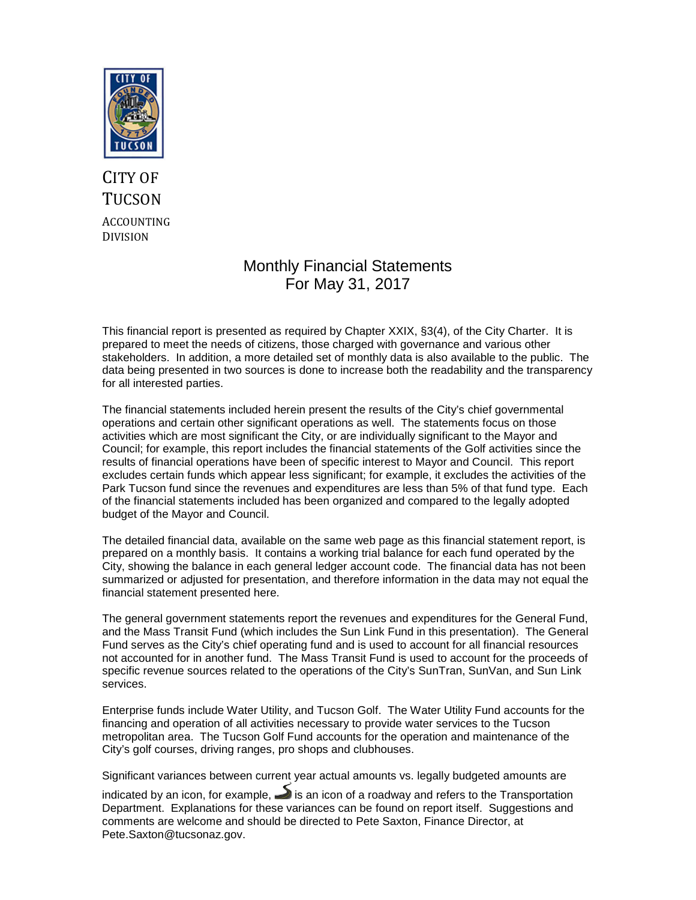

# CITY OF **TUCSON** ACCOUNTING DIVISION

# Monthly Financial Statements For May 31, 2017

This financial report is presented as required by Chapter XXIX, §3(4), of the City Charter. It is prepared to meet the needs of citizens, those charged with governance and various other stakeholders. In addition, a more detailed set of monthly data is also available to the public. The data being presented in two sources is done to increase both the readability and the transparency for all interested parties.

The financial statements included herein present the results of the City's chief governmental operations and certain other significant operations as well. The statements focus on those activities which are most significant the City, or are individually significant to the Mayor and Council; for example, this report includes the financial statements of the Golf activities since the results of financial operations have been of specific interest to Mayor and Council. This report excludes certain funds which appear less significant; for example, it excludes the activities of the Park Tucson fund since the revenues and expenditures are less than 5% of that fund type. Each of the financial statements included has been organized and compared to the legally adopted budget of the Mayor and Council.

The detailed financial data, available on the same web page as this financial statement report, is prepared on a monthly basis. It contains a working trial balance for each fund operated by the City, showing the balance in each general ledger account code. The financial data has not been summarized or adjusted for presentation, and therefore information in the data may not equal the financial statement presented here.

The general government statements report the revenues and expenditures for the General Fund, and the Mass Transit Fund (which includes the Sun Link Fund in this presentation). The General Fund serves as the City's chief operating fund and is used to account for all financial resources not accounted for in another fund. The Mass Transit Fund is used to account for the proceeds of specific revenue sources related to the operations of the City's SunTran, SunVan, and Sun Link services.

Enterprise funds include Water Utility, and Tucson Golf. The Water Utility Fund accounts for the financing and operation of all activities necessary to provide water services to the Tucson metropolitan area. The Tucson Golf Fund accounts for the operation and maintenance of the City's golf courses, driving ranges, pro shops and clubhouses.

Significant variances between current year actual amounts vs. legally budgeted amounts are

indicated by an icon, for example,  $\rightarrow$  is an icon of a roadway and refers to the Transportation Department. Explanations for these variances can be found on report itself. Suggestions and comments are welcome and should be directed to Pete Saxton, Finance Director, at Pete.Saxton@tucsonaz.gov.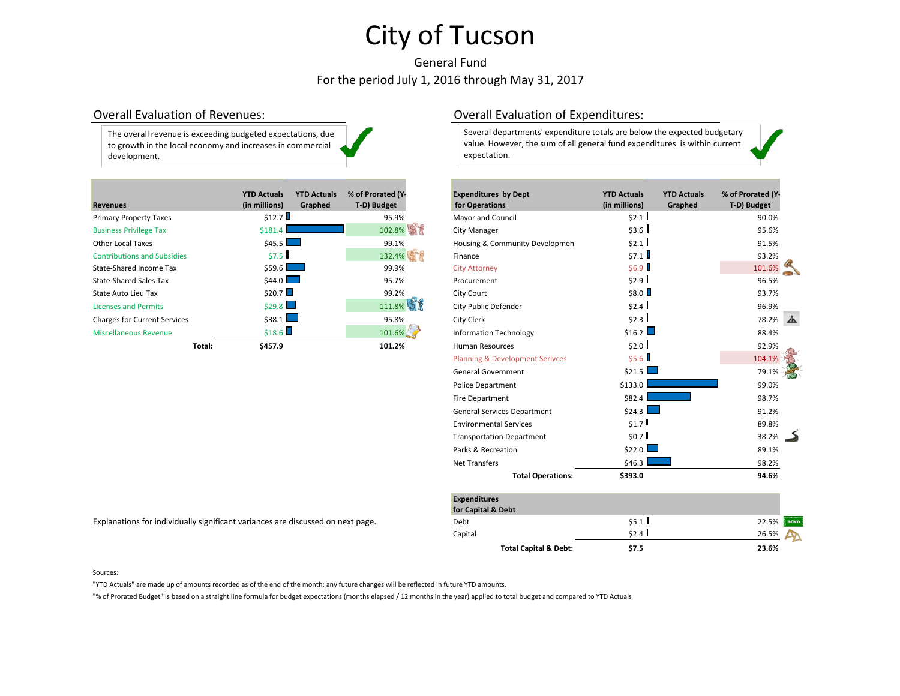# General Fund For the period July 1, 2016 through May 31, 2017

| The overall revenue is exceeding budgeted expectations, due |  |
|-------------------------------------------------------------|--|
| to growth in the local economy and increases in commercial  |  |
| development.                                                |  |

|                                     |        | <b>YTD Actuals</b> | <b>YTD Actuals</b> | % of Prorated (Y- | <b>Expenditures by Dept</b>    | <b>YTD Actuals</b> | <b>YTD Actuals</b> | % of Prorated (Y |
|-------------------------------------|--------|--------------------|--------------------|-------------------|--------------------------------|--------------------|--------------------|------------------|
| <b>Revenues</b>                     |        | (in millions)      | Graphed            | T-D) Budget       | for Operations                 | (in millions)      | Graphed            | T-D) Budget      |
| <b>Primary Property Taxes</b>       |        | \$12.7             |                    | 95.9%             | <b>Mayor and Council</b>       | \$2.1              |                    | 90.0%            |
| <b>Business Privilege Tax</b>       |        | \$181.4            |                    | 102.8%            | <b>City Manager</b>            | \$3.6              |                    | 95.6%            |
| <b>Other Local Taxes</b>            |        | $$45.5$ $\Box$     |                    | 99.1%             | Housing & Community Developmen | \$2.1              |                    | 91.5%            |
| <b>Contributions and Subsidies</b>  |        | \$7.5              |                    | 132.4%            | Finance                        | \$7.1              |                    | 93.2%            |
| State-Shared Income Tax             |        | $$59.6$ $\Box$     |                    | 99.9%             | <b>City Attorney</b>           | \$6.9              |                    | 101.6%           |
| <b>State-Shared Sales Tax</b>       |        | $$44.0$ $\Box$     |                    | 95.7%             | Procurement                    | \$2.9              |                    | 96.5%            |
| State Auto Lieu Tax                 |        | \$20.7             |                    | 99.2%             | City Court                     | \$8.0              |                    | 93.7%            |
| <b>Licenses and Permits</b>         |        | \$29.8             |                    | 111.8%            | City Public Defender           | \$2.4              |                    | 96.9%            |
| <b>Charges for Current Services</b> |        | \$38.1             |                    | 95.8%             | City Clerk                     | \$2.3              |                    | 78.2%            |
| <b>Miscellaneous Revenue</b>        |        | \$18.6             |                    | 101.6%            | <b>Information Technology</b>  | \$16.2             |                    | 88.4%            |
|                                     | Total: | \$457.9            |                    | 101.2%            | <b>Human Resources</b>         | \$2.0              |                    | 92.9%            |

## Overall Evaluation of Revenues: Overall Evaluation of Expenditures:

Several departments' expenditure totals are below the expected budgetary value. However, the sum of all general fund expenditures is within current expectation.

|        | <b>YTD Actuals</b>                                  | <b>YTD Actuals</b> | % of Prorated (Y- | <b>Expenditures by Dept</b>                | <b>YTD Actuals</b> | <b>YTD Actuals</b> | % of Prorated (Y- |  |
|--------|-----------------------------------------------------|--------------------|-------------------|--------------------------------------------|--------------------|--------------------|-------------------|--|
|        | (in millions)                                       | Graphed            | T-D) Budget       | for Operations                             | (in millions)      | Graphed            | T-D) Budget       |  |
|        | \$12.7                                              |                    | 95.9%             | Mayor and Council                          | \$2.1              |                    | 90.0%             |  |
|        | \$181.4                                             |                    | 102.8%            | City Manager                               | \$3.6              |                    | 95.6%             |  |
|        | \$45.5                                              |                    | 99.1%             | Housing & Community Developmen             | \$2.1              |                    | 91.5%             |  |
|        | \$7.5                                               |                    | 132.4%            | Finance                                    | \$7.1              |                    | 93.2%             |  |
|        | \$59.6                                              |                    | 99.9%             | <b>City Attorney</b>                       | \$6.9              |                    | 101.6%            |  |
|        | \$44.0                                              |                    | 95.7%             | Procurement                                | \$2.9              |                    | 96.5%             |  |
|        | \$20.7                                              |                    | 99.2%             | City Court                                 | \$8.0              |                    | 93.7%             |  |
|        | \$29.8                                              |                    | 111.8%            | City Public Defender                       | \$2.4              |                    | 96.9%             |  |
|        | $$38.1$ $\Box$                                      |                    | 95.8%             | City Clerk                                 | \$2.3              |                    | 78.2%             |  |
|        | \$18.6                                              |                    | 101.6%            | <b>Information Technology</b>              | \$16.2             |                    | 88.4%             |  |
| Total: | \$457.9                                             |                    | 101.2%            | <b>Human Resources</b>                     | \$2.0              |                    | 92.9%             |  |
|        |                                                     |                    |                   | <b>Planning &amp; Development Serivces</b> | \$5.6              |                    | 104.1%            |  |
|        |                                                     |                    |                   | <b>General Government</b>                  | \$21.5             |                    | 79.1%             |  |
|        |                                                     |                    |                   | <b>Police Department</b>                   | \$133.0            |                    | 99.0%             |  |
|        |                                                     |                    |                   | <b>Fire Department</b>                     | \$82.4             |                    | 98.7%             |  |
|        |                                                     |                    |                   | <b>General Services Department</b>         | \$24.3             |                    | 91.2%             |  |
|        |                                                     |                    |                   | <b>Environmental Services</b>              | \$1.7              |                    | 89.8%             |  |
|        |                                                     |                    |                   | <b>Transportation Department</b>           | \$0.7              |                    | 38.2%             |  |
|        |                                                     |                    |                   | Parks & Recreation                         | \$22.0             |                    | 89.1%             |  |
|        |                                                     |                    |                   | <b>Net Transfers</b>                       | \$46.3             |                    | 98.2%             |  |
|        |                                                     |                    |                   | <b>Total Operations:</b>                   | \$393.0            |                    | 94.6%             |  |
|        |                                                     |                    |                   |                                            |                    |                    |                   |  |
|        |                                                     |                    |                   | <b>Expenditures</b>                        |                    |                    |                   |  |
|        |                                                     |                    |                   | for Capital & Debt                         |                    |                    |                   |  |
|        | y significant variances are discussed on next page. |                    |                   | Debt                                       | \$5.1              |                    | 22.5%             |  |
|        |                                                     |                    |                   | Capital                                    | \$2.4              |                    | 26.5%             |  |

**Total Capital & Debt: \$7.5 23.6%**

Explanations for individually significant variances are discussed on next page.

"YTD Actuals" are made up of amounts recorded as of the end of the month; any future changes will be reflected in future YTD amounts.

"% of Prorated Budget" is based on a straight line formula for budget expectations (months elapsed / 12 months in the year) applied to total budget and compared to YTD Actuals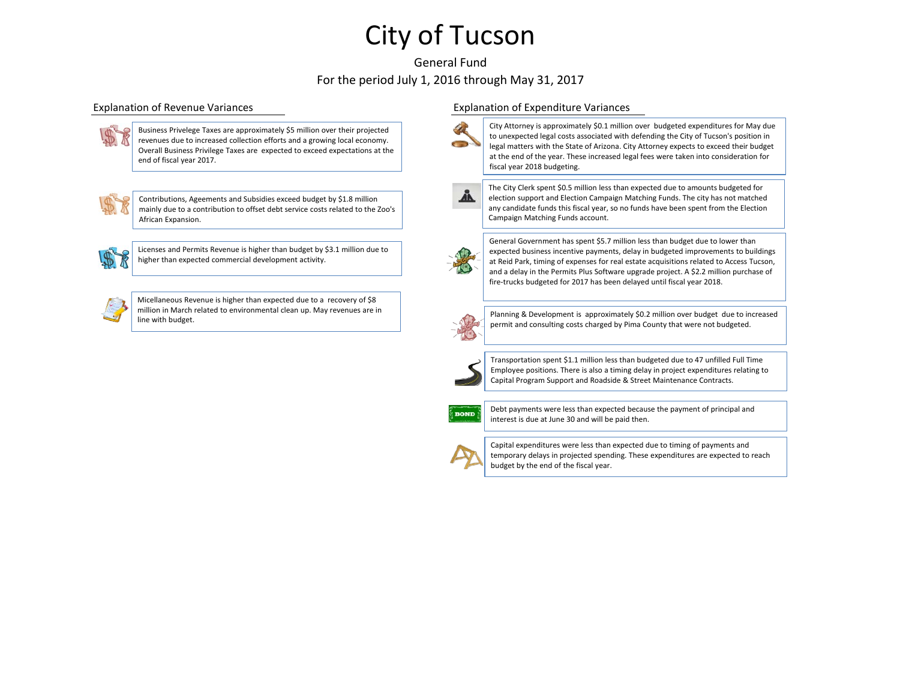## General Fund For the period July 1, 2016 through May 31, 2017



Business Privelege Taxes are approximately \$5 million over their projected revenues due to increased collection efforts and a growing local economy. Overall Business Privilege Taxes are expected to exceed expectations at the end of fiscal year 2017.



Contributions, Ageements and Subsidies exceed budget by \$1.8 million mainly due to a contribution to offset debt service costs related to the Zoo's African Expansion.



Micellaneous Revenue is higher than expected due to a recovery of \$8 million in March related to environmental clean up. May revenues are in line with budget.

### Explanation of Revenue Variances Explanation of Expenditure Variances



City Attorney is approximately \$0.1 million over budgeted expenditures for May due to unexpected legal costs associated with defending the City of Tucson's position in legal matters with the State of Arizona. City Attorney expects to exceed their budget at the end of the year. These increased legal fees were taken into consideration for fiscal year 2018 budgeting.



The City Clerk spent \$0.5 million less than expected due to amounts budgeted for election support and Election Campaign Matching Funds. The city has not matched any candidate funds this fiscal year, so no funds have been spent from the Election Campaign Matching Funds account.



General Government has spent \$5.7 million less than budget due to lower than expected business incentive payments, delay in budgeted improvements to buildings at Reid Park, timing of expenses for real estate acquisitions related to Access Tucson, and a delay in the Permits Plus Software upgrade project. A \$2.2 million purchase of fire-trucks budgeted for 2017 has been delayed until fiscal year 2018.



Planning & Development is approximately \$0.2 million over budget due to increased permit and consulting costs charged by Pima County that were not budgeted.



Transportation spent \$1.1 million less than budgeted due to 47 unfilled Full Time Employee positions. There is also a timing delay in project expenditures relating to Capital Program Support and Roadside & Street Maintenance Contracts.



Debt payments were less than expected because the payment of principal and interest is due at June 30 and will be paid then.



Capital expenditures were less than expected due to timing of payments and temporary delays in projected spending. These expenditures are expected to reach budget by the end of the fiscal year.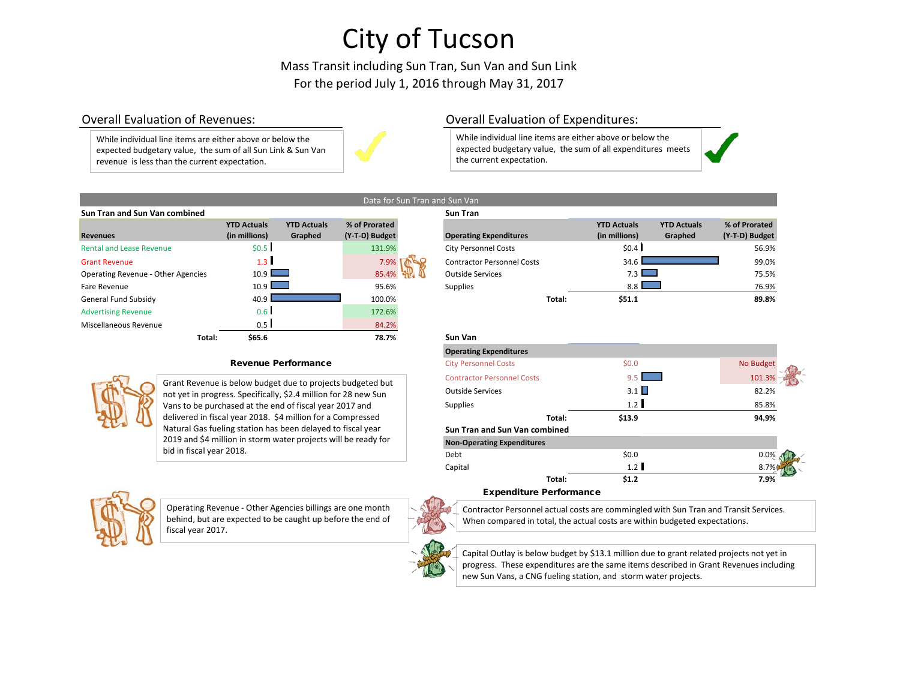Mass Transit including Sun Tran, Sun Van and Sun Link For the period July 1, 2016 through May 31, 2017

an and Sun Van

While individual line items are either above or below the expected budgetary value, the sum of all Sun Link & Sun Van revenue is less than the current expectation.



## Overall Evaluation of Revenues: Overall Evaluation of Expenditures:

While individual line items are either above or below the expected budgetary value, the sum of all expenditures meets the current expectation.

|                    |                    |                                | <b>Sun Tran</b>                        |
|--------------------|--------------------|--------------------------------|----------------------------------------|
| <b>YTD Actuals</b> | <b>YTD Actuals</b> | % of Prorated                  |                                        |
| (in millions)      | Graphed            | (Y-T-D) Budget                 | Operating                              |
| \$0.5              |                    | 131.9%                         | <b>City Perso</b>                      |
| 1.3                |                    | 7.9%                           | Contracto                              |
|                    |                    | 85.4%                          | Outside S                              |
|                    |                    | 95.6%                          | <b>Supplies</b>                        |
| 40.9               |                    | 100.0%                         |                                        |
| 0.6 <sub>1</sub>   |                    | 172.6%                         |                                        |
| 0.5                |                    |                                |                                        |
| \$65.6             |                    | 78.7%                          | Sun Van                                |
|                    |                    | $10.9$ $\Box$<br>$10.9$ $\Box$ | Data for Sun Tran and Sun Van<br>84.2% |

### Revenue Performance



Grant Revenue is below budget due to projects budgeted but not yet in progress. Specifically, \$2.4 million for 28 new Sun Vans to be purchased at the end of fiscal year 2017 and delivered in fiscal year 2018. \$4 million for a Compressed Natural Gas fueling station has been delayed to fiscal year 2019 and \$4 million in storm water projects will be ready for bid in fiscal year 2018.



Operating Revenue - Other Agencies billings are one month behind, but are expected to be caught up before the end of fiscal year 2017.





Expenditure Performance

Contractor Personnel actual costs are commingled with Sun Tran and Transit Services. When compared in total, the actual costs are within budgeted expectations.



Capital Outlay is below budget by \$13.1 million due to grant related projects not yet in progress. These expenditures are the same items described in Grant Revenues including new Sun Vans, a CNG fueling station, and storm water projects.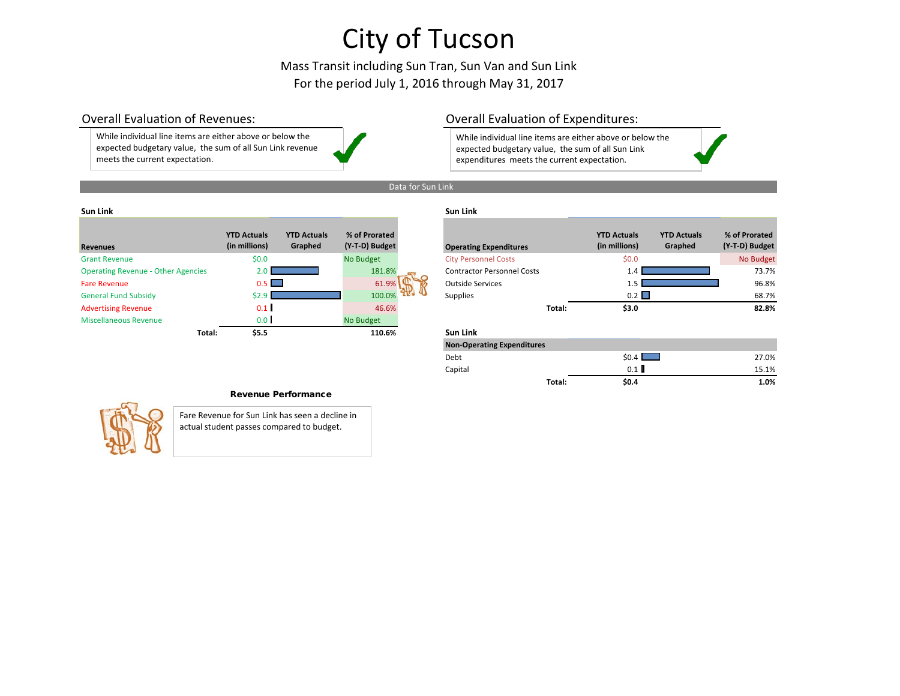# Mass Transit including Sun Tran, Sun Van and Sun Link For the period July 1, 2016 through May 31, 2017

While individual line items are either above or below the expected budgetary value, the sum of all Sun Link revenue meets the current expectation.

## Overall Evaluation of Revenues: Overall Evaluation of Expenditures:

While individual line items are either above or below the expected budgetary value, the sum of all Sun Link expenditures meets the current expectation.

## Data for Sun Link

### **Sun Link Sun Link**

| <b>Revenues</b>                           | <b>YTD Actuals</b><br>(in millions) | <b>YTD Actuals</b><br>Graphed | % of Prorated<br>(Y-T-D) Budget |
|-------------------------------------------|-------------------------------------|-------------------------------|---------------------------------|
| <b>Grant Revenue</b>                      | \$0.0                               |                               | <b>No Budget</b>                |
| <b>Operating Revenue - Other Agencies</b> | 2.0                                 |                               | 181.8%                          |
| <b>Fare Revenue</b>                       | 0.5                                 |                               | 61.9%                           |
| <b>General Fund Subsidy</b>               | \$2.9                               |                               | 100.0%                          |
| <b>Advertising Revenue</b>                | 0.1                                 |                               | 46.6%                           |
| Miscellaneous Revenue                     | 0.0 <sub>1</sub>                    |                               | No Budget                       |
| Total:                                    | \$5.5                               |                               | 110.6%                          |

| <b>Revenues</b>                           | <b>YTD Actuals</b><br>(in millions) | <b>YTD Actuals</b><br>Graphed | % of Prorated<br>(Y-T-D) Budget | <b>Operating Expenditures</b>     |        | <b>YTD Actuals</b><br>(in millions) | <b>YTD Actuals</b><br>Graphed | % of Prorated<br>(Y-T-D) Budget |
|-------------------------------------------|-------------------------------------|-------------------------------|---------------------------------|-----------------------------------|--------|-------------------------------------|-------------------------------|---------------------------------|
| <b>Grant Revenue</b>                      | \$0.0                               |                               | No Budget                       | <b>City Personnel Costs</b>       |        | \$0.0                               |                               | No Budget                       |
| <b>Operating Revenue - Other Agencies</b> |                                     |                               | 181.8%                          | <b>Contractor Personnel Costs</b> |        |                                     |                               | 73.7%                           |
| <b>Fare Revenue</b>                       | 0.5 I                               |                               | 61.9%                           | <b>Outside Services</b>           |        |                                     |                               | 96.8%                           |
| <b>General Fund Subsidy</b>               |                                     |                               | 100.0%                          | <b>Supplies</b>                   |        | $0.2 \Box$                          |                               | 68.7%                           |
| <b>Advertising Revenue</b>                | 0.1                                 |                               | 46.6%                           |                                   | Total: | \$3.0                               |                               | 82.8%                           |

### **Total: \$5.5 110.6% Sun Link**

| <b>Non-Operating Expenditures</b> |        |       |       |
|-----------------------------------|--------|-------|-------|
| Debt                              |        | \$0.4 | 27.0% |
| Capital                           |        | 0.1   | 15.1% |
|                                   | Total: | \$0.4 | 1.0%  |

### Revenue Performance

Fare Revenue for Sun Link has seen a decline in actual student passes compared to budget.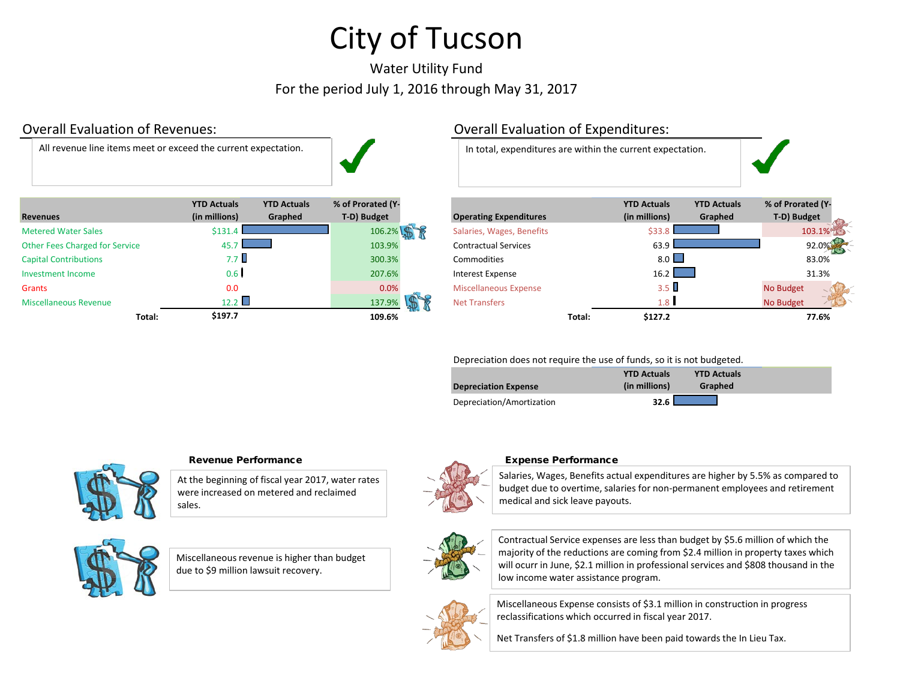# Water Utility Fund For the period July 1, 2016 through May 31, 2017

All revenue line items meet or exceed the current expectation. In total, expenditures are within the current expectation.



| <b>Revenues</b>                | <b>YTD Actuals</b><br>(in millions) | <b>YTD Actuals</b><br>Graphed | % of Prorated (Y-<br>T-D) Budget | <b>Operating Expenditures</b> |        | <b>YTD Actuals</b><br>(in millions) | <b>YTD Actuals</b><br>Graphed | % of Prorated (Y<br>T-D) Budget |
|--------------------------------|-------------------------------------|-------------------------------|----------------------------------|-------------------------------|--------|-------------------------------------|-------------------------------|---------------------------------|
| <b>Metered Water Sales</b>     | \$131                               |                               | 106.2%                           | Salaries, Wages, Benefits     |        | \$33                                |                               | 103.1%                          |
| Other Fees Charged for Service | 457                                 |                               | 103.9%                           | <b>Contractual Services</b>   |        | 63.9                                |                               | 92.0%                           |
| <b>Capital Contributions</b>   | 7.7 II                              |                               | 300.3%                           | Commodities                   |        | $8.0$ $\Box$                        |                               | 83.0%                           |
| Investment Income              | 0.6 <sub>1</sub>                    |                               | 207.6%                           | <b>Interest Expense</b>       |        | 16.2                                |                               | 31.3%                           |
| <b>Grants</b>                  | 0.0                                 |                               | 0.0%                             | <b>Miscellaneous Expense</b>  |        | $3.5 \text{ }$                      |                               | No Budget                       |
| <b>Miscellaneous Revenue</b>   | 12.2                                |                               | 137.9%                           | <b>Net Transfers</b>          |        | 1.8 <sup>1</sup>                    |                               | -1<br>No Budget                 |
| Total:                         | \$197.7                             |                               | 109.6%                           |                               | Total: | \$127.2                             |                               | 77.6%                           |

# Overall Evaluation of Revenues: Overall Evaluation of Expenditures:



| <b>YTD Actuals</b><br>(in millions) | <b>YTD Actuals</b><br>Graphed | % of Prorated (Y-<br>T-D) Budget | <b>Operating Expenditures</b> |        | <b>YTD Actuals</b><br>(in millions) | <b>YTD Actuals</b><br>Graphed | % of Prorated (Y-<br>T-D) Budget |        |
|-------------------------------------|-------------------------------|----------------------------------|-------------------------------|--------|-------------------------------------|-------------------------------|----------------------------------|--------|
|                                     | \$131.4                       | 106.2%                           | Salaries, Wages, Benefits     |        | \$33.8                              |                               |                                  | 103.1% |
|                                     | 45.7                          | 103.9%                           | <b>Contractual Services</b>   |        | 63.9                                |                               |                                  | 92.0%  |
|                                     | 7.7 U                         | 300.3%                           | <b>Commodities</b>            |        | $8.0$ $\Box$                        |                               | 83.0%                            |        |
|                                     | 0.6 <sub>1</sub>              | 207.6%                           | Interest Expense              |        | 16.2                                |                               | 31.3%                            |        |
|                                     | 0.0                           | 0.0%                             | <b>Miscellaneous Expense</b>  |        | $3.5 \square$                       |                               | <b>No Budget</b>                 |        |
|                                     | 12.2                          | 137.9%                           | <b>Net Transfers</b>          |        | 1.8 <sub>1</sub>                    |                               | <b>No Budget</b>                 |        |
| Total:                              | \$197.7                       | 109.6%                           |                               | Total: | \$127.2                             |                               | 77.6%                            |        |

## Depreciation does not require the use of funds, so it is not budgeted.

| <b>Depreciation Expense</b> | <b>YTD Actuals</b><br>(in millions) | <b>YTD Actuals</b><br>Graphed |
|-----------------------------|-------------------------------------|-------------------------------|
| Depreciation/Amortization   | 32.6                                |                               |



## Revenue Performance **Expense Performance** Expense Performance

At the beginning of fiscal year 2017, water rates were increased on metered and reclaimed sales.





Miscellaneous revenue is higher than budget due to \$9 million lawsuit recovery.



Salaries, Wages, Benefits actual expenditures are higher by 5.5% as compared to budget due to overtime, salaries for non-permanent employees and retirement medical and sick leave payouts.



Contractual Service expenses are less than budget by \$5.6 million of which the majority of the reductions are coming from \$2.4 million in property taxes which will ocurr in June, \$2.1 million in professional services and \$808 thousand in the low income water assistance program.



Miscellaneous Expense consists of \$3.1 million in construction in progress reclassifications which occurred in fiscal year 2017.

Net Transfers of \$1.8 million have been paid towards the In Lieu Tax.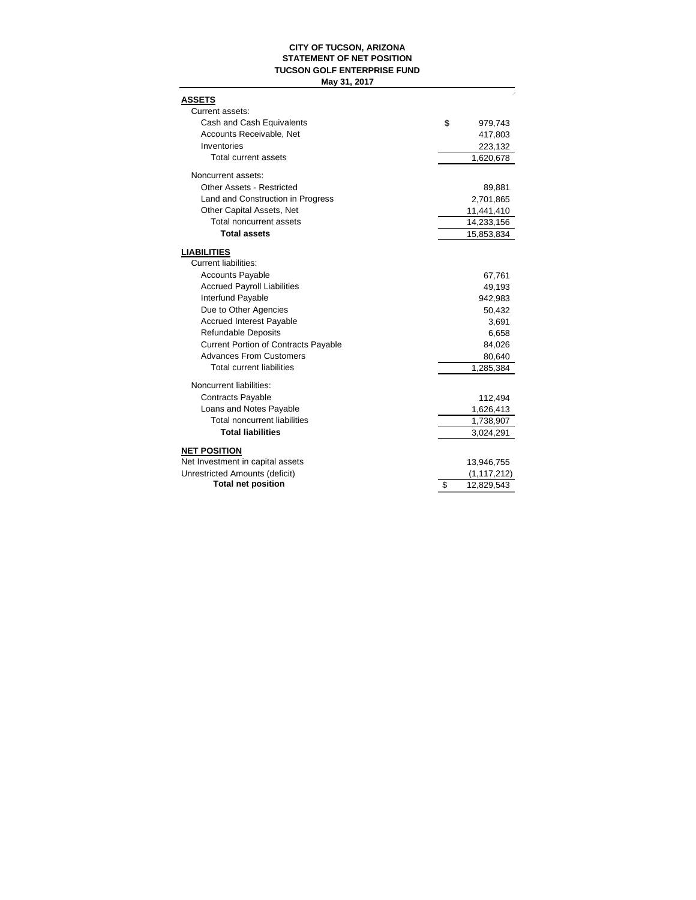### **CITY OF TUCSON, ARIZONA STATEMENT OF NET POSITION TUCSON GOLF ENTERPRISE FUND May 31, 2017**

| <b>ASSETS</b><br>Current assets:            |                  |
|---------------------------------------------|------------------|
| Cash and Cash Equivalents                   | \$<br>979,743    |
| Accounts Receivable, Net                    | 417,803          |
| Inventories                                 | 223,132          |
| <b>Total current assets</b>                 | 1,620,678        |
| Noncurrent assets:                          |                  |
| <b>Other Assets - Restricted</b>            | 89,881           |
| Land and Construction in Progress           | 2,701,865        |
| Other Capital Assets, Net                   | 11,441,410       |
| Total noncurrent assets                     | 14,233,156       |
| <b>Total assets</b>                         | 15,853,834       |
| <b>LIABILITIES</b>                          |                  |
| <b>Current liabilities:</b>                 |                  |
| <b>Accounts Payable</b>                     | 67,761           |
| <b>Accrued Payroll Liabilities</b>          | 49,193           |
| Interfund Payable                           | 942,983          |
| Due to Other Agencies                       | 50,432           |
| <b>Accrued Interest Payable</b>             | 3,691            |
| <b>Refundable Deposits</b>                  | 6,658            |
| <b>Current Portion of Contracts Payable</b> | 84,026           |
| <b>Advances From Customers</b>              | 80,640           |
| <b>Total current liabilities</b>            | 1,285,384        |
| Noncurrent liabilities:                     |                  |
| <b>Contracts Payable</b>                    | 112,494          |
| Loans and Notes Payable                     | 1,626,413        |
| <b>Total noncurrent liabilities</b>         | 1,738,907        |
| <b>Total liabilities</b>                    | 3,024,291        |
| <b>NET POSITION</b>                         |                  |
| Net Investment in capital assets            | 13,946,755       |
| Unrestricted Amounts (deficit)              | (1, 117, 212)    |
| <b>Total net position</b>                   | \$<br>12,829,543 |